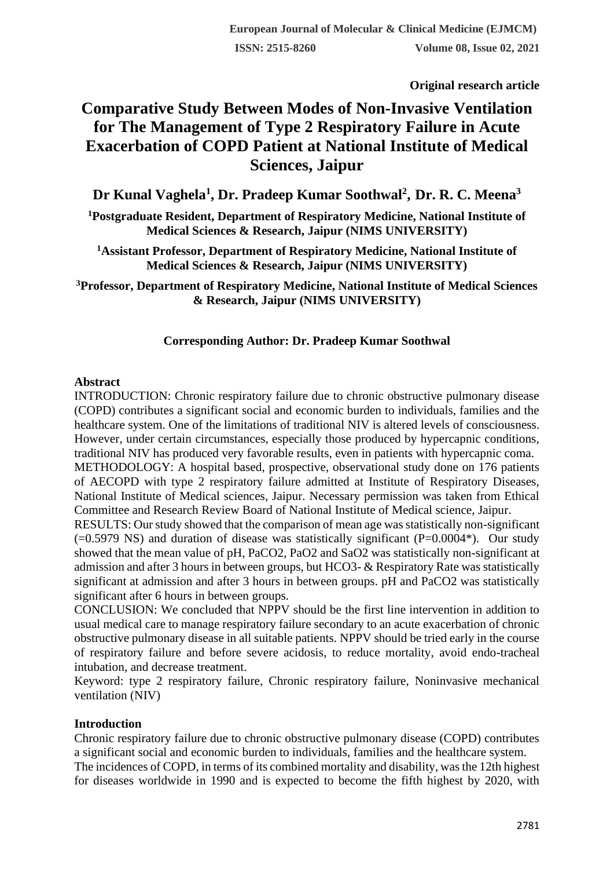**Original research article** 

# **Comparative Study Between Modes of Non-Invasive Ventilation for The Management of Type 2 Respiratory Failure in Acute Exacerbation of COPD Patient at National Institute of Medical Sciences, Jaipur**

**Dr Kunal Vaghela<sup>1</sup> , Dr. Pradeep Kumar Soothwal<sup>2</sup> , Dr. R. C. Meena<sup>3</sup>**

**<sup>1</sup>Postgraduate Resident, Department of Respiratory Medicine, National Institute of Medical Sciences & Research, Jaipur (NIMS UNIVERSITY)**

**<sup>1</sup>Assistant Professor, Department of Respiratory Medicine, National Institute of Medical Sciences & Research, Jaipur (NIMS UNIVERSITY)**

**<sup>3</sup>Professor, Department of Respiratory Medicine, National Institute of Medical Sciences & Research, Jaipur (NIMS UNIVERSITY)**

### **Corresponding Author: Dr. Pradeep Kumar Soothwal**

#### **Abstract**

INTRODUCTION: Chronic respiratory failure due to chronic obstructive pulmonary disease (COPD) contributes a significant social and economic burden to individuals, families and the healthcare system. One of the limitations of traditional NIV is altered levels of consciousness. However, under certain circumstances, especially those produced by hypercapnic conditions, traditional NIV has produced very favorable results, even in patients with hypercapnic coma.

METHODOLOGY: A hospital based, prospective, observational study done on 176 patients of AECOPD with type 2 respiratory failure admitted at Institute of Respiratory Diseases, National Institute of Medical sciences, Jaipur. Necessary permission was taken from Ethical Committee and Research Review Board of National Institute of Medical science, Jaipur.

RESULTS: Our study showed that the comparison of mean age was statistically non-significant  $(=0.5979 \text{ NS})$  and duration of disease was statistically significant (P=0.0004\*). Our study showed that the mean value of pH, PaCO2, PaO2 and SaO2 was statistically non-significant at admission and after 3 hours in between groups, but HCO3- & Respiratory Rate was statistically significant at admission and after 3 hours in between groups. pH and PaCO2 was statistically significant after 6 hours in between groups.

CONCLUSION: We concluded that NPPV should be the first line intervention in addition to usual medical care to manage respiratory failure secondary to an acute exacerbation of chronic obstructive pulmonary disease in all suitable patients. NPPV should be tried early in the course of respiratory failure and before severe acidosis, to reduce mortality, avoid endo-tracheal intubation, and decrease treatment.

Keyword: type 2 respiratory failure, Chronic respiratory failure, Noninvasive mechanical ventilation (NIV)

#### **Introduction**

Chronic respiratory failure due to chronic obstructive pulmonary disease (COPD) contributes a significant social and economic burden to individuals, families and the healthcare system.

The incidences of COPD, in terms of its combined mortality and disability, was the 12th highest for diseases worldwide in 1990 and is expected to become the fifth highest by 2020, with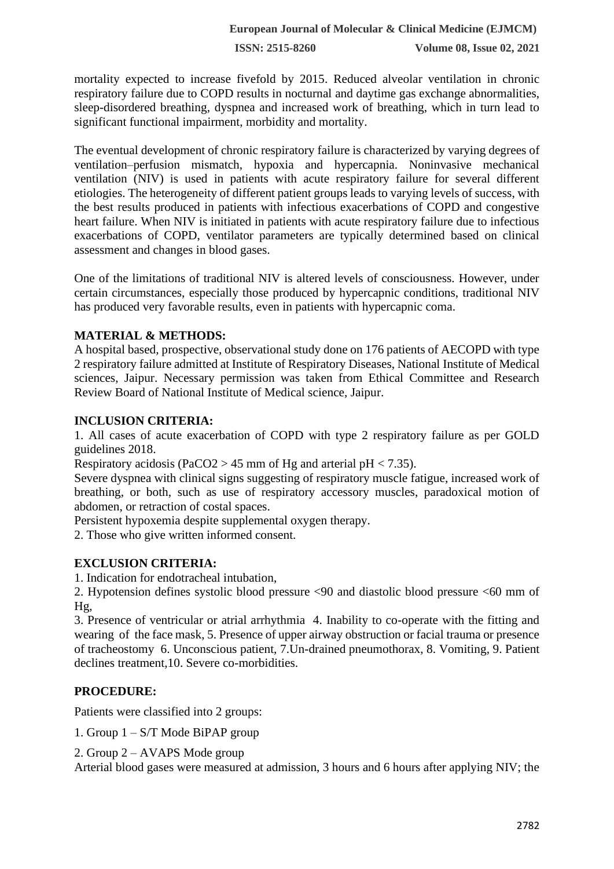**ISSN: 2515-8260 Volume 08, Issue 02, 2021**

mortality expected to increase fivefold by 2015. Reduced alveolar ventilation in chronic respiratory failure due to COPD results in nocturnal and daytime gas exchange abnormalities, sleep-disordered breathing, dyspnea and increased work of breathing, which in turn lead to significant functional impairment, morbidity and mortality.

The eventual development of chronic respiratory failure is characterized by varying degrees of ventilation–perfusion mismatch, hypoxia and hypercapnia. Noninvasive mechanical ventilation (NIV) is used in patients with acute respiratory failure for several different etiologies. The heterogeneity of different patient groups leads to varying levels of success, with the best results produced in patients with infectious exacerbations of COPD and congestive heart failure. When NIV is initiated in patients with acute respiratory failure due to infectious exacerbations of COPD, ventilator parameters are typically determined based on clinical assessment and changes in blood gases.

One of the limitations of traditional NIV is altered levels of consciousness. However, under certain circumstances, especially those produced by hypercapnic conditions, traditional NIV has produced very favorable results, even in patients with hypercapnic coma.

#### **MATERIAL & METHODS:**

A hospital based, prospective, observational study done on 176 patients of AECOPD with type 2 respiratory failure admitted at Institute of Respiratory Diseases, National Institute of Medical sciences, Jaipur. Necessary permission was taken from Ethical Committee and Research Review Board of National Institute of Medical science, Jaipur.

#### **INCLUSION CRITERIA:**

1. All cases of acute exacerbation of COPD with type 2 respiratory failure as per GOLD guidelines 2018.

Respiratory acidosis (PaCO2 > 45 mm of Hg and arterial pH < 7.35).

Severe dyspnea with clinical signs suggesting of respiratory muscle fatigue, increased work of breathing, or both, such as use of respiratory accessory muscles, paradoxical motion of abdomen, or retraction of costal spaces.

Persistent hypoxemia despite supplemental oxygen therapy.

2. Those who give written informed consent.

#### **EXCLUSION CRITERIA:**

1. Indication for endotracheal intubation,

2. Hypotension defines systolic blood pressure <90 and diastolic blood pressure <60 mm of Hg,

3. Presence of ventricular or atrial arrhythmia 4. Inability to co-operate with the fitting and wearing of the face mask, 5. Presence of upper airway obstruction or facial trauma or presence of tracheostomy 6. Unconscious patient, 7.Un-drained pneumothorax, 8. Vomiting, 9. Patient declines treatment,10. Severe co-morbidities.

#### **PROCEDURE:**

Patients were classified into 2 groups:

1. Group 1 – S/T Mode BiPAP group

2. Group 2 – AVAPS Mode group

Arterial blood gases were measured at admission, 3 hours and 6 hours after applying NIV; the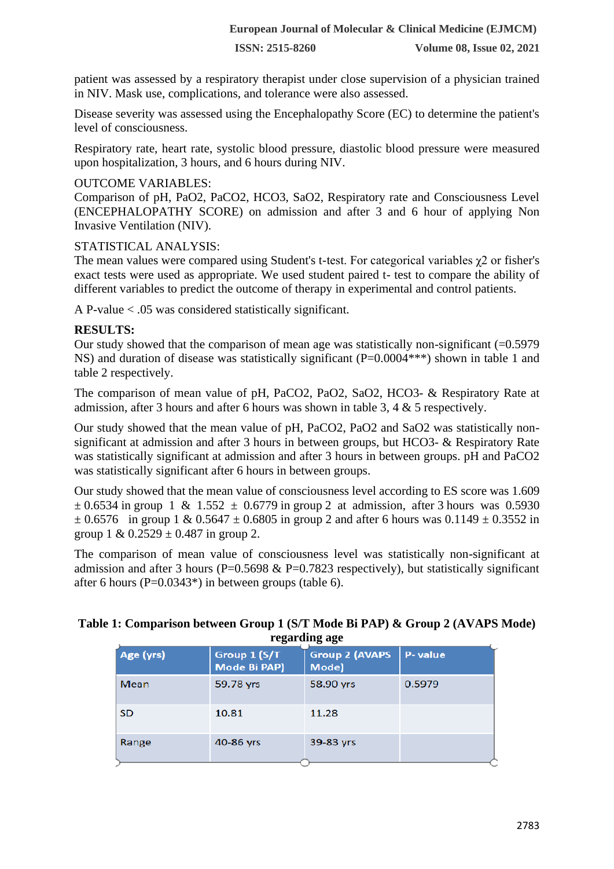**ISSN: 2515-8260 Volume 08, Issue 02, 2021**

patient was assessed by a respiratory therapist under close supervision of a physician trained in NIV. Mask use, complications, and tolerance were also assessed.

Disease severity was assessed using the Encephalopathy Score (EC) to determine the patient's level of consciousness.

Respiratory rate, heart rate, systolic blood pressure, diastolic blood pressure were measured upon hospitalization, 3 hours, and 6 hours during NIV.

#### OUTCOME VARIABLES:

Comparison of pH, PaO2, PaCO2, HCO3, SaO2, Respiratory rate and Consciousness Level (ENCEPHALOPATHY SCORE) on admission and after 3 and 6 hour of applying Non Invasive Ventilation (NIV).

#### STATISTICAL ANALYSIS:

The mean values were compared using Student's t-test. For categorical variables χ2 or fisher's exact tests were used as appropriate. We used student paired t- test to compare the ability of different variables to predict the outcome of therapy in experimental and control patients.

A P-value < .05 was considered statistically significant.

#### **RESULTS:**

Our study showed that the comparison of mean age was statistically non-significant  $(=0.5979$ NS) and duration of disease was statistically significant (P=0.0004\*\*\*) shown in table 1 and table 2 respectively.

The comparison of mean value of pH, PaCO2, PaO2, SaO2, HCO3- & Respiratory Rate at admission, after 3 hours and after 6 hours was shown in table 3, 4 & 5 respectively.

Our study showed that the mean value of pH, PaCO2, PaO2 and SaO2 was statistically nonsignificant at admission and after 3 hours in between groups, but HCO3- & Respiratory Rate was statistically significant at admission and after 3 hours in between groups. pH and PaCO2 was statistically significant after 6 hours in between groups.

Our study showed that the mean value of consciousness level according to ES score was 1.609  $\pm$  0.6534 in group 1 & 1.552  $\pm$  0.6779 in group 2 at admission, after 3 hours was 0.5930  $\pm$  0.6576 in group 1 & 0.5647  $\pm$  0.6805 in group 2 and after 6 hours was 0.1149  $\pm$  0.3552 in group 1 &  $0.2529 \pm 0.487$  in group 2.

The comparison of mean value of consciousness level was statistically non-significant at admission and after 3 hours (P=0.5698  $&$  P=0.7823 respectively), but statistically significant after 6 hours ( $P=0.0343^*$ ) in between groups (table 6).

#### **Table 1: Comparison between Group 1 (S/T Mode Bi PAP) & Group 2 (AVAPS Mode) regarding age**

| - <del>. .</del> - -<br><del>.</del> |                              |                                |         |  |
|--------------------------------------|------------------------------|--------------------------------|---------|--|
| Age (yrs)                            | Group 1 (S/T<br>Mode Bi PAP) | <b>Group 2 (AVAPS</b><br>Mode) | P-value |  |
| Mean                                 | 59.78 yrs                    | 58.90 yrs                      | 0.5979  |  |
| <b>SD</b>                            | 10.81                        | 11.28                          |         |  |
| Range                                | 40-86 yrs                    | 39-83 yrs                      |         |  |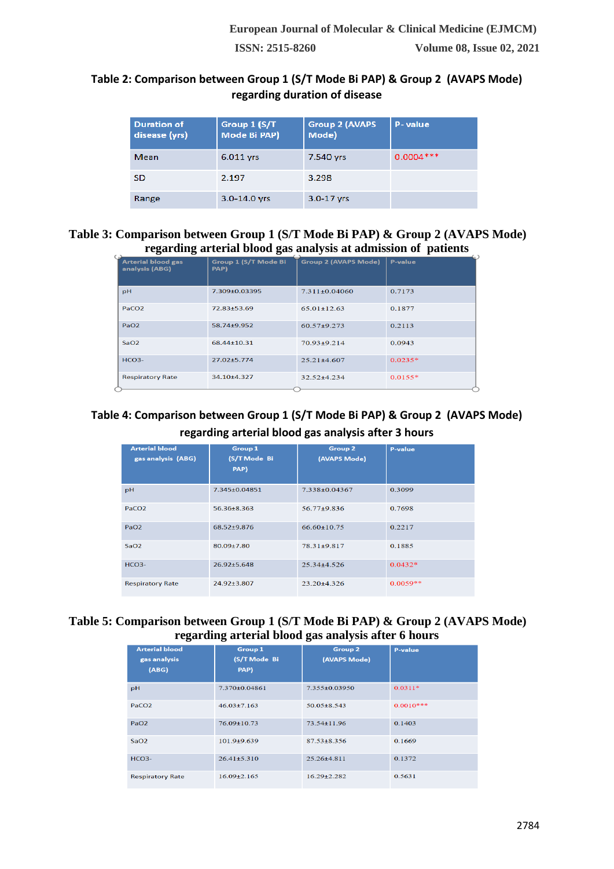#### **Table 2: Comparison between Group 1 (S/T Mode Bi PAP) & Group 2 (AVAPS Mode) regarding duration of disease**

| <b>Duration of</b><br>disease (yrs) | Group 1 (S/T<br>Mode Bi PAP) | <b>Group 2 (AVAPS</b><br>Mode) | P-value     |
|-------------------------------------|------------------------------|--------------------------------|-------------|
| Mean                                | 6.011 vrs                    | 7.540 yrs                      | $0.0004***$ |
| <b>SD</b>                           | 2.197                        | 3.298                          |             |
| Range                               | $3.0 - 14.0$ vrs             | $3.0 - 17$ vrs                 |             |

#### **Table 3: Comparison between Group 1 (S/T Mode Bi PAP) & Group 2 (AVAPS Mode) regarding arterial blood gas analysis at admission of patients**  $\overline{C}$

| 0<br>$\overline{\phantom{a}}$               | 0                            | $\overline{ }$              | . .            |
|---------------------------------------------|------------------------------|-----------------------------|----------------|
| <b>Arterial blood gas</b><br>analysis (ABG) | Group 1 (S/T Mode Bi<br>PAP) | <b>Group 2 (AVAPS Mode)</b> | <b>P-value</b> |
| pH                                          | 7.309±0.03395                | $7.311 + 0.04060$           | 0.7173         |
| PaCO <sub>2</sub>                           | 72.83±53.69                  | $65.01 + 12.63$             | 0.1877         |
| PaO <sub>2</sub>                            | 58.74±9.952                  | 60.57+9.273                 | 0.2113         |
| SaO2                                        | 68.44±10.31                  | $70.93 + 9.214$             | 0.0943         |
| $HCO3-$                                     | $27.02 + 5.774$              | $25.21 \pm 4.607$           | $0.0235*$      |
| <b>Respiratory Rate</b>                     | 34.10±4.327                  | $32.52 + 4.234$             | $0.0155*$      |

# **Table 4: Comparison between Group 1 (S/T Mode Bi PAP) & Group 2 (AVAPS Mode) regarding arterial blood gas analysis after 3 hours**

| <b>Arterial blood</b><br>gas analysis (ABG) | <b>Group 1</b><br>(S/T Mode Bi<br>PAP) | <b>Group 2</b><br>(AVAPS Mode) | <b>P-value</b> |
|---------------------------------------------|----------------------------------------|--------------------------------|----------------|
| pH                                          | 7.345±0.04851                          | 7.338±0.04367                  | 0.3099         |
| PaCO <sub>2</sub>                           | 56.36+8.363                            | 56.77+9.836                    | 0.7698         |
| PaO <sub>2</sub>                            | 68.52±9.876                            | $66.60 \pm 10.75$              | 0.2217         |
| SaO2                                        | 80.09+7.80                             | 78.31+9.817                    | 0.1885         |
| $HCO3-$                                     | $26.92 \pm 5.648$                      | $25.34 + 4.526$                | $0.0432*$      |
| <b>Respiratory Rate</b>                     | 24.92±3.807                            | $23.20 + 4.326$                | $0.0059**$     |

#### **Table 5: Comparison between Group 1 (S/T Mode Bi PAP) & Group 2 (AVAPS Mode) regarding arterial blood gas analysis after 6 hours**

| <b>Arterial blood</b><br>gas analysis<br>(ABG) | <b>Group 1</b><br>(S/T Mode Bi<br>PAP) | <b>Group 2</b><br>(AVAPS Mode) | <b>P-value</b> |
|------------------------------------------------|----------------------------------------|--------------------------------|----------------|
| pH                                             | 7.370+0.04861                          | 7.355+0.03950                  | $0.0311*$      |
| PaCO <sub>2</sub>                              | $46.03 \pm 7.163$                      | $50.05 \pm 8.543$              | $0.0010***$    |
| PaO2                                           | $76.09 + 10.73$                        | 73.54±11.96                    | 0.1403         |
| SaO2                                           | $101.9+9.639$                          | $87.53 + 8.356$                | 0.1669         |
| $HCO3-$                                        | $26.41 \pm 5.310$                      | 25.26±4.811                    | 0.1372         |
| <b>Respiratory Rate</b>                        | $16.09 + 2.165$                        | $16.29 + 2.282$                | 0.5631         |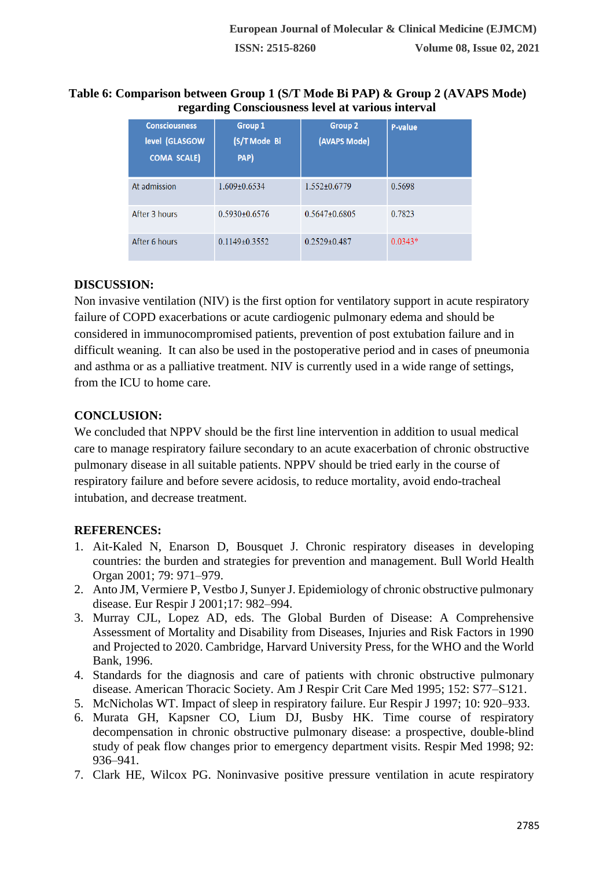#### **Table 6: Comparison between Group 1 (S/T Mode Bi PAP) & Group 2 (AVAPS Mode) regarding Consciousness level at various interval**

| <b>Consciousness</b><br>level (GLASGOW<br><b>COMA SCALE)</b> | <b>Group 1</b><br>(S/T Mode Bi<br>PAP) | <b>Group 2</b><br>(AVAPS Mode) | <b>P-value</b> |
|--------------------------------------------------------------|----------------------------------------|--------------------------------|----------------|
| At admission                                                 | $1.609 \pm 0.6534$                     | 1.552+0.6779                   | 0.5698         |
| After 3 hours                                                | $0.5930 + 0.6576$                      | $0.5647 \pm 0.6805$            | 0.7823         |
| After 6 hours                                                | $0.1149 + 0.3552$                      | $0.2529 + 0.487$               | $0.0343*$      |

## **DISCUSSION:**

Non invasive ventilation (NIV) is the first option for ventilatory support in acute respiratory failure of COPD exacerbations or acute cardiogenic pulmonary edema and should be considered in immunocompromised patients, prevention of post extubation failure and in difficult weaning. It can also be used in the postoperative period and in cases of pneumonia and asthma or as a palliative treatment. NIV is currently used in a wide range of settings, from the ICU to home care.

# **CONCLUSION:**

We concluded that NPPV should be the first line intervention in addition to usual medical care to manage respiratory failure secondary to an acute exacerbation of chronic obstructive pulmonary disease in all suitable patients. NPPV should be tried early in the course of respiratory failure and before severe acidosis, to reduce mortality, avoid endo-tracheal intubation, and decrease treatment.

# **REFERENCES:**

- 1. Ait-Kaled N, Enarson D, Bousquet J. Chronic respiratory diseases in developing countries: the burden and strategies for prevention and management. Bull World Health Organ 2001; 79: 971–979.
- 2. Anto JM, Vermiere P, Vestbo J, Sunyer J. Epidemiology of chronic obstructive pulmonary disease. Eur Respir J 2001;17: 982–994.
- 3. Murray CJL, Lopez AD, eds. The Global Burden of Disease: A Comprehensive Assessment of Mortality and Disability from Diseases, Injuries and Risk Factors in 1990 and Projected to 2020. Cambridge, Harvard University Press, for the WHO and the World Bank, 1996.
- 4. Standards for the diagnosis and care of patients with chronic obstructive pulmonary disease. American Thoracic Society. Am J Respir Crit Care Med 1995; 152: S77–S121.
- 5. McNicholas WT. Impact of sleep in respiratory failure. Eur Respir J 1997; 10: 920–933.
- 6. Murata GH, Kapsner CO, Lium DJ, Busby HK. Time course of respiratory decompensation in chronic obstructive pulmonary disease: a prospective, double-blind study of peak flow changes prior to emergency department visits. Respir Med 1998; 92: 936–941.
- 7. Clark HE, Wilcox PG. Noninvasive positive pressure ventilation in acute respiratory